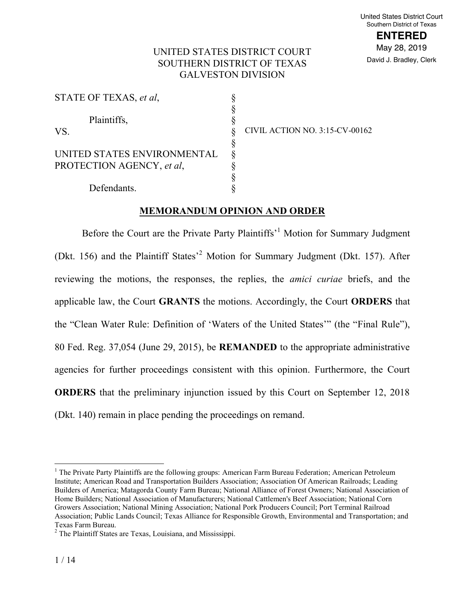**ENTERED** May 28, 2019 David J. Bradley, Clerk

# UNITED STATES DISTRICT COURT SOUTHERN DISTRICT OF TEXAS GALVESTON DIVISION

| STATE OF TEXAS, et al.      |      |
|-----------------------------|------|
|                             |      |
| Plaintiffs,                 |      |
| VS.                         |      |
|                             | §    |
| UNITED STATES ENVIRONMENTAL | $\S$ |
| PROTECTION AGENCY, et al.   |      |
|                             | $\S$ |
| Defendants.                 |      |

CIVIL ACTION NO. 3:15-CV-00162

#### **MEMORANDUM OPINION AND ORDER**

Before the Court are the Private Party Plaintiffs<sup>1</sup> Motion for Summary Judgment (Dkt. 156) and the Plaintiff States'<sup>2</sup> Motion for Summary Judgment (Dkt. 157). After reviewing the motions, the responses, the replies, the *amici curiae* briefs, and the applicable law, the Court **GRANTS** the motions. Accordingly, the Court **ORDERS** that the "Clean Water Rule: Definition of 'Waters of the United States'" (the "Final Rule"), 80 Fed. Reg. 37,054 (June 29, 2015), be **REMANDED** to the appropriate administrative agencies for further proceedings consistent with this opinion. Furthermore, the Court **ORDERS** that the preliminary injunction issued by this Court on September 12, 2018 (Dkt. 140) remain in place pending the proceedings on remand.

<sup>&</sup>lt;sup>1</sup> The Private Party Plaintiffs are the following groups: American Farm Bureau Federation; American Petroleum Institute; American Road and Transportation Builders Association; Association Of American Railroads; Leading Builders of America; Matagorda County Farm Bureau; National Alliance of Forest Owners; National Association of Home Builders; National Association of Manufacturers; National Cattlemen's Beef Association; National Corn Growers Association; National Mining Association; National Pork Producers Council; Port Terminal Railroad Association; Public Lands Council; Texas Alliance for Responsible Growth, Environmental and Transportation; and

Texas Farm Bureau.<br><sup>2</sup> The Plaintiff States are Texas, Louisiana, and Mississippi.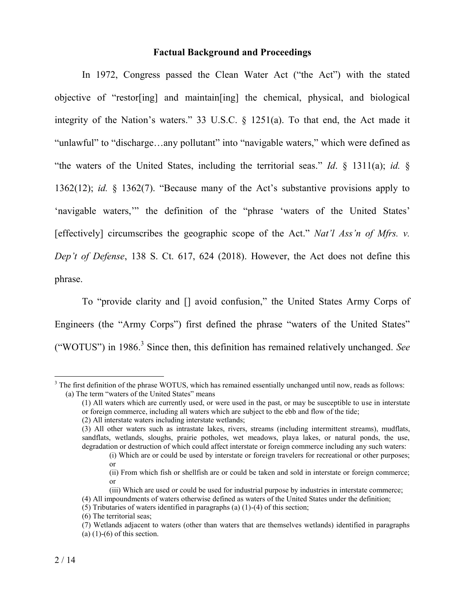### **Factual Background and Proceedings**

In 1972, Congress passed the Clean Water Act ("the Act") with the stated objective of "restor[ing] and maintain[ing] the chemical, physical, and biological integrity of the Nation's waters." 33 U.S.C. § 1251(a). To that end, the Act made it "unlawful" to "discharge…any pollutant" into "navigable waters," which were defined as "the waters of the United States, including the territorial seas." *Id*. § 1311(a); *id.* § 1362(12); *id.* § 1362(7). "Because many of the Act's substantive provisions apply to 'navigable waters,'" the definition of the "phrase 'waters of the United States' [effectively] circumscribes the geographic scope of the Act." *Nat'l Ass'n of Mfrs. v. Dep't of Defense*, 138 S. Ct. 617, 624 (2018). However, the Act does not define this phrase.

To "provide clarity and [] avoid confusion," the United States Army Corps of Engineers (the "Army Corps") first defined the phrase "waters of the United States" ("WOTUS") in 1986.<sup>3</sup> Since then, this definition has remained relatively unchanged. *See*

<sup>&</sup>lt;sup>3</sup> The first definition of the phrase WOTUS, which has remained essentially unchanged until now, reads as follows: (a) The term "waters of the United States" means

<sup>(1)</sup> All waters which are currently used, or were used in the past, or may be susceptible to use in interstate or foreign commerce, including all waters which are subject to the ebb and flow of the tide;

<sup>(2)</sup> All interstate waters including interstate wetlands;

<sup>(3)</sup> All other waters such as intrastate lakes, rivers, streams (including intermittent streams), mudflats, sandflats, wetlands, sloughs, prairie potholes, wet meadows, playa lakes, or natural ponds, the use, degradation or destruction of which could affect interstate or foreign commerce including any such waters:

<sup>(</sup>i) Which are or could be used by interstate or foreign travelers for recreational or other purposes; or

<sup>(</sup>ii) From which fish or shellfish are or could be taken and sold in interstate or foreign commerce; or

<sup>(</sup>iii) Which are used or could be used for industrial purpose by industries in interstate commerce; (4) All impoundments of waters otherwise defined as waters of the United States under the definition;

<sup>(5)</sup> Tributaries of waters identified in paragraphs (a) (1)-(4) of this section;

<sup>(6)</sup> The territorial seas;

<sup>(7)</sup> Wetlands adjacent to waters (other than waters that are themselves wetlands) identified in paragraphs (a)  $(1)-(6)$  of this section.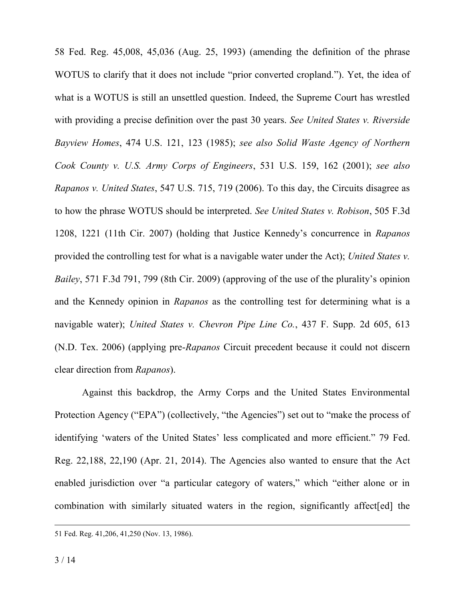58 Fed. Reg. 45,008, 45,036 (Aug. 25, 1993) (amending the definition of the phrase WOTUS to clarify that it does not include "prior converted cropland."). Yet, the idea of what is a WOTUS is still an unsettled question. Indeed, the Supreme Court has wrestled with providing a precise definition over the past 30 years. *See United States v. Riverside Bayview Homes*, 474 U.S. 121, 123 (1985); *see also Solid Waste Agency of Northern Cook County v. U.S. Army Corps of Engineers*, 531 U.S. 159, 162 (2001); *see also Rapanos v. United States*, 547 U.S. 715, 719 (2006). To this day, the Circuits disagree as to how the phrase WOTUS should be interpreted. *See United States v. Robison*, 505 F.3d 1208, 1221 (11th Cir. 2007) (holding that Justice Kennedy's concurrence in *Rapanos* provided the controlling test for what is a navigable water under the Act); *United States v. Bailey*, 571 F.3d 791, 799 (8th Cir. 2009) (approving of the use of the plurality's opinion and the Kennedy opinion in *Rapanos* as the controlling test for determining what is a navigable water); *United States v. Chevron Pipe Line Co.*, 437 F. Supp. 2d 605, 613 (N.D. Tex. 2006) (applying pre-*Rapanos* Circuit precedent because it could not discern clear direction from *Rapanos*).

Against this backdrop, the Army Corps and the United States Environmental Protection Agency ("EPA") (collectively, "the Agencies") set out to "make the process of identifying 'waters of the United States' less complicated and more efficient." 79 Fed. Reg. 22,188, 22,190 (Apr. 21, 2014). The Agencies also wanted to ensure that the Act enabled jurisdiction over "a particular category of waters," which "either alone or in combination with similarly situated waters in the region, significantly affect[ed] the

 <sup>51</sup> Fed. Reg. 41,206, 41,250 (Nov. 13, 1986).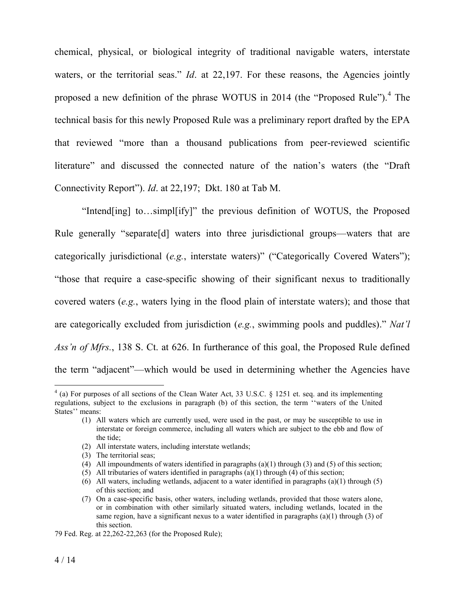chemical, physical, or biological integrity of traditional navigable waters, interstate waters, or the territorial seas." *Id*. at 22,197. For these reasons, the Agencies jointly proposed a new definition of the phrase WOTUS in 2014 (the "Proposed Rule").<sup>4</sup> The technical basis for this newly Proposed Rule was a preliminary report drafted by the EPA that reviewed "more than a thousand publications from peer-reviewed scientific literature" and discussed the connected nature of the nation's waters (the "Draft Connectivity Report"). *Id*. at 22,197; Dkt. 180 at Tab M.

"Intend[ing] to…simpl[ify]" the previous definition of WOTUS, the Proposed Rule generally "separate [d] waters into three jurisdictional groups—waters that are categorically jurisdictional (*e.g.*, interstate waters)" ("Categorically Covered Waters"); "those that require a case-specific showing of their significant nexus to traditionally covered waters (*e.g.*, waters lying in the flood plain of interstate waters); and those that are categorically excluded from jurisdiction (*e.g.*, swimming pools and puddles)." *Nat'l Ass'n of Mfrs.*, 138 S. Ct. at 626. In furtherance of this goal, the Proposed Rule defined the term "adjacent"—which would be used in determining whether the Agencies have

- (2) All interstate waters, including interstate wetlands;
- (3) The territorial seas;

 <sup>4</sup> (a) For purposes of all sections of the Clean Water Act, 33 U.S.C. § 1251 et. seq. and its implementing regulations, subject to the exclusions in paragraph (b) of this section, the term ''waters of the United States'' means:

<sup>(1)</sup> All waters which are currently used, were used in the past, or may be susceptible to use in interstate or foreign commerce, including all waters which are subject to the ebb and flow of the tide;

<sup>(4)</sup> All impoundments of waters identified in paragraphs (a)(1) through (3) and (5) of this section;

<sup>(5)</sup> All tributaries of waters identified in paragraphs (a)(1) through (4) of this section;

<sup>(6)</sup> All waters, including wetlands, adjacent to a water identified in paragraphs (a)(1) through (5) of this section; and

<sup>(7)</sup> On a case-specific basis, other waters, including wetlands, provided that those waters alone, or in combination with other similarly situated waters, including wetlands, located in the same region, have a significant nexus to a water identified in paragraphs  $(a)(1)$  through  $(3)$  of this section.

<sup>79</sup> Fed. Reg. at 22,262-22,263 (for the Proposed Rule);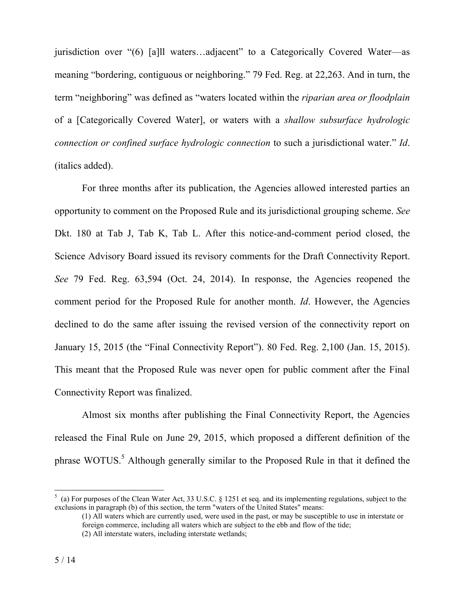jurisdiction over "(6) [a]ll waters…adjacent" to a Categorically Covered Water—as meaning "bordering, contiguous or neighboring." 79 Fed. Reg. at 22,263. And in turn, the term "neighboring" was defined as "waters located within the *riparian area or floodplain* of a [Categorically Covered Water], or waters with a *shallow subsurface hydrologic connection or confined surface hydrologic connection* to such a jurisdictional water." *Id*. (italics added).

For three months after its publication, the Agencies allowed interested parties an opportunity to comment on the Proposed Rule and its jurisdictional grouping scheme. *See*  Dkt. 180 at Tab J, Tab K, Tab L. After this notice-and-comment period closed, the Science Advisory Board issued its revisory comments for the Draft Connectivity Report. *See* 79 Fed. Reg. 63,594 (Oct. 24, 2014). In response, the Agencies reopened the comment period for the Proposed Rule for another month. *Id*. However, the Agencies declined to do the same after issuing the revised version of the connectivity report on January 15, 2015 (the "Final Connectivity Report"). 80 Fed. Reg. 2,100 (Jan. 15, 2015). This meant that the Proposed Rule was never open for public comment after the Final Connectivity Report was finalized.

Almost six months after publishing the Final Connectivity Report, the Agencies released the Final Rule on June 29, 2015, which proposed a different definition of the phrase WOTUS.<sup>5</sup> Although generally similar to the Proposed Rule in that it defined the

 <sup>5</sup>  $\frac{1}{2}$  (a) For purposes of the Clean Water Act, 33 U.S.C. § 1251 et seq. and its implementing regulations, subject to the exclusions in paragraph (b) of this section, the term "waters of the United States" means:

<sup>(1)</sup> All waters which are currently used, were used in the past, or may be susceptible to use in interstate or foreign commerce, including all waters which are subject to the ebb and flow of the tide; (2) All interstate waters, including interstate wetlands;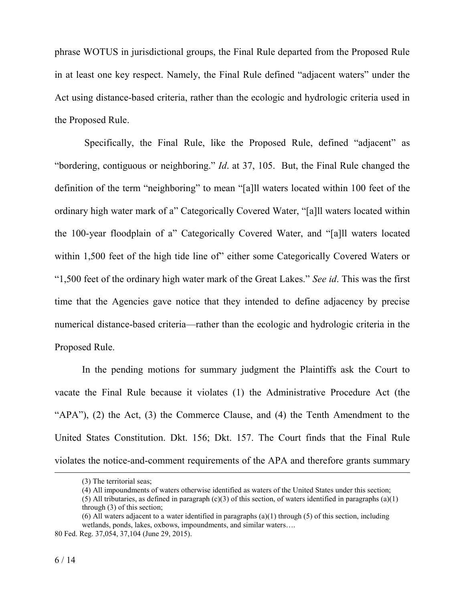phrase WOTUS in jurisdictional groups, the Final Rule departed from the Proposed Rule in at least one key respect. Namely, the Final Rule defined "adjacent waters" under the Act using distance-based criteria, rather than the ecologic and hydrologic criteria used in the Proposed Rule.

Specifically, the Final Rule, like the Proposed Rule, defined "adjacent" as "bordering, contiguous or neighboring." *Id*. at 37, 105. But, the Final Rule changed the definition of the term "neighboring" to mean "[a]ll waters located within 100 feet of the ordinary high water mark of a" Categorically Covered Water, "[a]ll waters located within the 100-year floodplain of a" Categorically Covered Water, and "[a]ll waters located within 1,500 feet of the high tide line of" either some Categorically Covered Waters or "1,500 feet of the ordinary high water mark of the Great Lakes." *See id*. This was the first time that the Agencies gave notice that they intended to define adjacency by precise numerical distance-based criteria—rather than the ecologic and hydrologic criteria in the Proposed Rule.

In the pending motions for summary judgment the Plaintiffs ask the Court to vacate the Final Rule because it violates (1) the Administrative Procedure Act (the "APA"), (2) the Act, (3) the Commerce Clause, and (4) the Tenth Amendment to the United States Constitution. Dkt. 156; Dkt. 157. The Court finds that the Final Rule violates the notice-and-comment requirements of the APA and therefore grants summary

 $\overline{a}$ 

<sup>(3)</sup> The territorial seas;

<sup>(4)</sup> All impoundments of waters otherwise identified as waters of the United States under this section; (5) All tributaries, as defined in paragraph  $(c)(3)$  of this section, of waters identified in paragraphs  $(a)(1)$ through (3) of this section;

<sup>(6)</sup> All waters adjacent to a water identified in paragraphs (a)(1) through (5) of this section, including wetlands, ponds, lakes, oxbows, impoundments, and similar waters….

<sup>80</sup> Fed. Reg. 37,054, 37,104 (June 29, 2015).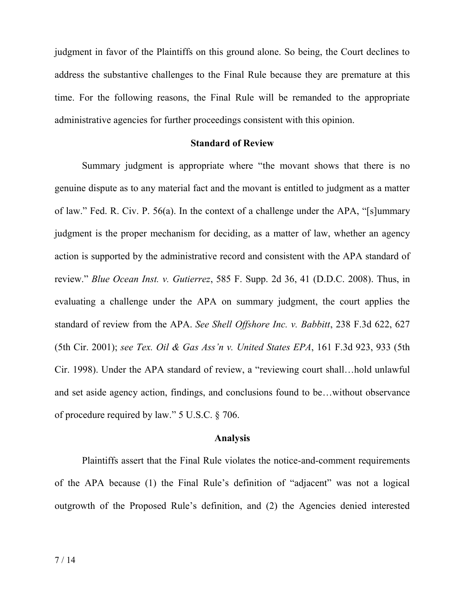judgment in favor of the Plaintiffs on this ground alone. So being, the Court declines to address the substantive challenges to the Final Rule because they are premature at this time. For the following reasons, the Final Rule will be remanded to the appropriate administrative agencies for further proceedings consistent with this opinion.

### **Standard of Review**

Summary judgment is appropriate where "the movant shows that there is no genuine dispute as to any material fact and the movant is entitled to judgment as a matter of law." Fed. R. Civ. P. 56(a). In the context of a challenge under the APA, "[s]ummary judgment is the proper mechanism for deciding, as a matter of law, whether an agency action is supported by the administrative record and consistent with the APA standard of review." *Blue Ocean Inst. v. Gutierrez*, 585 F. Supp. 2d 36, 41 (D.D.C. 2008). Thus, in evaluating a challenge under the APA on summary judgment, the court applies the standard of review from the APA. *See Shell Offshore Inc. v. Babbitt*, 238 F.3d 622, 627 (5th Cir. 2001); *see Tex. Oil & Gas Ass'n v. United States EPA*, 161 F.3d 923, 933 (5th Cir. 1998). Under the APA standard of review, a "reviewing court shall…hold unlawful and set aside agency action, findings, and conclusions found to be…without observance of procedure required by law." 5 U.S.C. § 706.

#### **Analysis**

Plaintiffs assert that the Final Rule violates the notice-and-comment requirements of the APA because (1) the Final Rule's definition of "adjacent" was not a logical outgrowth of the Proposed Rule's definition, and (2) the Agencies denied interested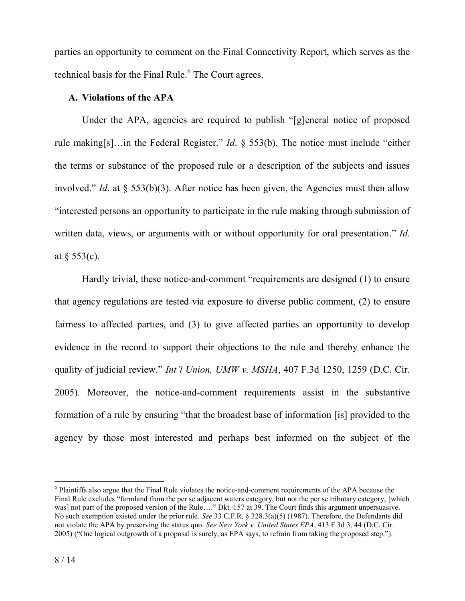parties an opportunity to comment on the Final Connectivity Report, which serves as the technical basis for the Final Rule. $<sup>6</sup>$  The Court agrees.</sup>

# **A. Violations of the APA**

Under the APA, agencies are required to publish "[g]eneral notice of proposed rule making[s]…in the Federal Register." *Id*. § 553(b). The notice must include "either the terms or substance of the proposed rule or a description of the subjects and issues involved." *Id.* at  $\delta$  553(b)(3). After notice has been given, the Agencies must then allow "interested persons an opportunity to participate in the rule making through submission of written data, views, or arguments with or without opportunity for oral presentation." *Id*. at  $\S$  553(c).

Hardly trivial, these notice-and-comment "requirements are designed (1) to ensure that agency regulations are tested via exposure to diverse public comment, (2) to ensure fairness to affected parties, and (3) to give affected parties an opportunity to develop evidence in the record to support their objections to the rule and thereby enhance the quality of judicial review." *Int'l Union, UMW v. MSHA*, 407 F.3d 1250, 1259 (D.C. Cir. 2005). Moreover, the notice-and-comment requirements assist in the substantive formation of a rule by ensuring "that the broadest base of information [is] provided to the agency by those most interested and perhaps best informed on the subject of the

 <sup>6</sup> Plaintiffs also argue that the Final Rule violates the notice-and-comment requirements of the APA because the Final Rule excludes "farmland from the per se adjacent waters category, but not the per se tributary category, [which was] not part of the proposed version of the Rule…." Dkt. 157 at 39. The Court finds this argument unpersuasive. No such exemption existed under the prior rule. *See* 33 C.F.R. § 328.3(a)(5) (1987). Therefore, the Defendants did not violate the APA by preserving the status quo. *See New York v. United States EPA*, 413 F.3d 3, 44 (D.C. Cir. 2005) ("One logical outgrowth of a proposal is surely, as EPA says, to refrain from taking the proposed step.").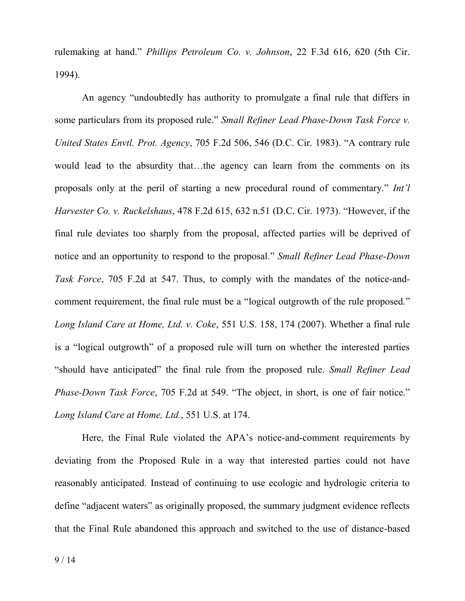rulemaking at hand." *Phillips Petroleum Co. v. Johnson*, 22 F.3d 616, 620 (5th Cir. 1994).

An agency "undoubtedly has authority to promulgate a final rule that differs in some particulars from its proposed rule." *Small Refiner Lead Phase-Down Task Force v. United States Envtl. Prot. Agency*, 705 F.2d 506, 546 (D.C. Cir. 1983). "A contrary rule would lead to the absurdity that…the agency can learn from the comments on its proposals only at the peril of starting a new procedural round of commentary." *Int'l Harvester Co. v. Ruckelshaus*, 478 F.2d 615, 632 n.51 (D.C. Cir. 1973). "However, if the final rule deviates too sharply from the proposal, affected parties will be deprived of notice and an opportunity to respond to the proposal." *Small Refiner Lead Phase-Down Task Force*, 705 F.2d at 547. Thus, to comply with the mandates of the notice-andcomment requirement, the final rule must be a "logical outgrowth of the rule proposed." *Long Island Care at Home, Ltd. v. Coke*, 551 U.S. 158, 174 (2007). Whether a final rule is a "logical outgrowth" of a proposed rule will turn on whether the interested parties "should have anticipated" the final rule from the proposed rule. *Small Refiner Lead Phase-Down Task Force*, 705 F.2d at 549. "The object, in short, is one of fair notice." *Long Island Care at Home, Ltd.*, 551 U.S. at 174.

Here, the Final Rule violated the APA's notice-and-comment requirements by deviating from the Proposed Rule in a way that interested parties could not have reasonably anticipated. Instead of continuing to use ecologic and hydrologic criteria to define "adjacent waters" as originally proposed, the summary judgment evidence reflects that the Final Rule abandoned this approach and switched to the use of distance-based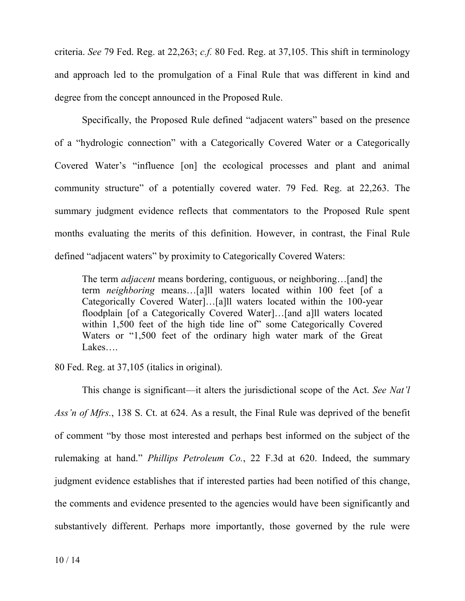criteria. *See* 79 Fed. Reg. at 22,263; *c.f.* 80 Fed. Reg. at 37,105. This shift in terminology and approach led to the promulgation of a Final Rule that was different in kind and degree from the concept announced in the Proposed Rule.

Specifically, the Proposed Rule defined "adjacent waters" based on the presence of a "hydrologic connection" with a Categorically Covered Water or a Categorically Covered Water's "influence [on] the ecological processes and plant and animal community structure" of a potentially covered water. 79 Fed. Reg. at 22,263. The summary judgment evidence reflects that commentators to the Proposed Rule spent months evaluating the merits of this definition. However, in contrast, the Final Rule defined "adjacent waters" by proximity to Categorically Covered Waters:

The term *adjacent* means bordering, contiguous, or neighboring…[and] the term *neighboring* means…[a]ll waters located within 100 feet [of a Categorically Covered Water]…[a]ll waters located within the 100-year floodplain [of a Categorically Covered Water]…[and a]ll waters located within 1,500 feet of the high tide line of" some Categorically Covered Waters or "1,500 feet of the ordinary high water mark of the Great Lakes….

80 Fed. Reg. at 37,105 (italics in original).

This change is significant—it alters the jurisdictional scope of the Act. *See Nat'l Ass'n of Mfrs.*, 138 S. Ct. at 624. As a result, the Final Rule was deprived of the benefit of comment "by those most interested and perhaps best informed on the subject of the rulemaking at hand." *Phillips Petroleum Co.*, 22 F.3d at 620. Indeed, the summary judgment evidence establishes that if interested parties had been notified of this change, the comments and evidence presented to the agencies would have been significantly and substantively different. Perhaps more importantly, those governed by the rule were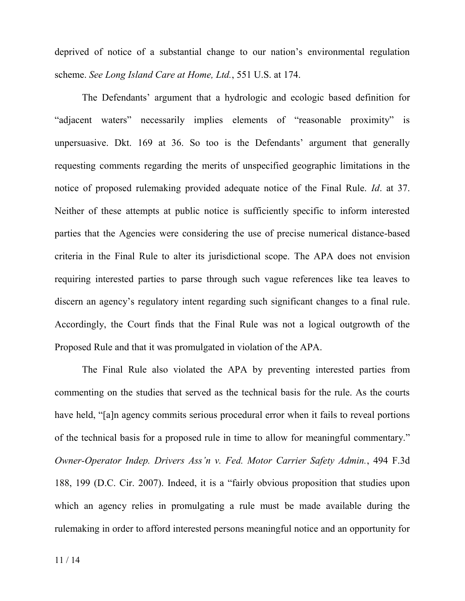deprived of notice of a substantial change to our nation's environmental regulation scheme. *See Long Island Care at Home, Ltd.*, 551 U.S. at 174.

The Defendants' argument that a hydrologic and ecologic based definition for "adjacent waters" necessarily implies elements of "reasonable proximity" is unpersuasive. Dkt. 169 at 36. So too is the Defendants' argument that generally requesting comments regarding the merits of unspecified geographic limitations in the notice of proposed rulemaking provided adequate notice of the Final Rule. *Id*. at 37. Neither of these attempts at public notice is sufficiently specific to inform interested parties that the Agencies were considering the use of precise numerical distance-based criteria in the Final Rule to alter its jurisdictional scope. The APA does not envision requiring interested parties to parse through such vague references like tea leaves to discern an agency's regulatory intent regarding such significant changes to a final rule. Accordingly, the Court finds that the Final Rule was not a logical outgrowth of the Proposed Rule and that it was promulgated in violation of the APA.

The Final Rule also violated the APA by preventing interested parties from commenting on the studies that served as the technical basis for the rule. As the courts have held, "[a]n agency commits serious procedural error when it fails to reveal portions of the technical basis for a proposed rule in time to allow for meaningful commentary." *Owner-Operator Indep. Drivers Ass'n v. Fed. Motor Carrier Safety Admin.*, 494 F.3d 188, 199 (D.C. Cir. 2007). Indeed, it is a "fairly obvious proposition that studies upon which an agency relies in promulgating a rule must be made available during the rulemaking in order to afford interested persons meaningful notice and an opportunity for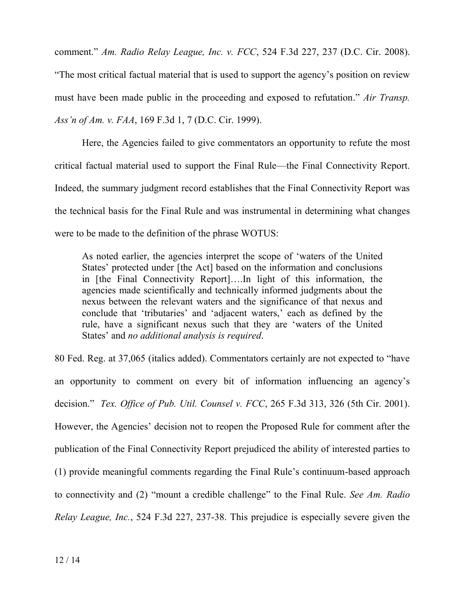comment." *Am. Radio Relay League, Inc. v. FCC*, 524 F.3d 227, 237 (D.C. Cir. 2008). "The most critical factual material that is used to support the agency's position on review must have been made public in the proceeding and exposed to refutation." *Air Transp. Ass'n of Am. v. FAA*, 169 F.3d 1, 7 (D.C. Cir. 1999).

Here, the Agencies failed to give commentators an opportunity to refute the most critical factual material used to support the Final Rule—the Final Connectivity Report. Indeed, the summary judgment record establishes that the Final Connectivity Report was the technical basis for the Final Rule and was instrumental in determining what changes were to be made to the definition of the phrase WOTUS:

As noted earlier, the agencies interpret the scope of 'waters of the United States' protected under [the Act] based on the information and conclusions in [the Final Connectivity Report]….In light of this information, the agencies made scientifically and technically informed judgments about the nexus between the relevant waters and the significance of that nexus and conclude that 'tributaries' and 'adjacent waters,' each as defined by the rule, have a significant nexus such that they are 'waters of the United States' and *no additional analysis is required*.

80 Fed. Reg. at 37,065 (italics added). Commentators certainly are not expected to "have an opportunity to comment on every bit of information influencing an agency's decision." *Tex. Office of Pub. Util. Counsel v. FCC*, 265 F.3d 313, 326 (5th Cir. 2001). However, the Agencies' decision not to reopen the Proposed Rule for comment after the publication of the Final Connectivity Report prejudiced the ability of interested parties to (1) provide meaningful comments regarding the Final Rule's continuum-based approach to connectivity and (2) "mount a credible challenge" to the Final Rule. *See Am. Radio Relay League, Inc.*, 524 F.3d 227, 237-38. This prejudice is especially severe given the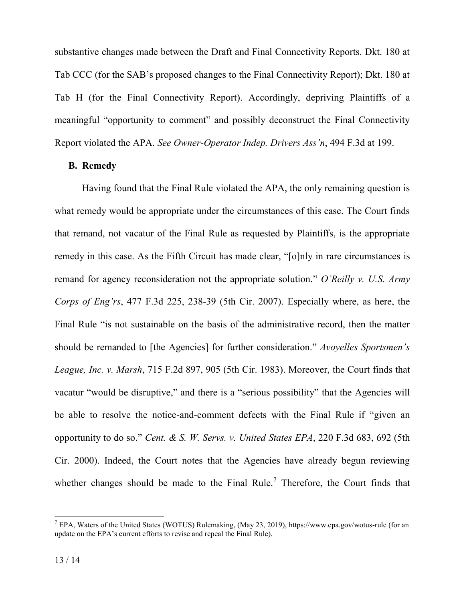substantive changes made between the Draft and Final Connectivity Reports. Dkt. 180 at Tab CCC (for the SAB's proposed changes to the Final Connectivity Report); Dkt. 180 at Tab H (for the Final Connectivity Report). Accordingly, depriving Plaintiffs of a meaningful "opportunity to comment" and possibly deconstruct the Final Connectivity Report violated the APA. *See Owner-Operator Indep. Drivers Ass'n*, 494 F.3d at 199.

## **B. Remedy**

Having found that the Final Rule violated the APA, the only remaining question is what remedy would be appropriate under the circumstances of this case. The Court finds that remand, not vacatur of the Final Rule as requested by Plaintiffs, is the appropriate remedy in this case. As the Fifth Circuit has made clear, "[o]nly in rare circumstances is remand for agency reconsideration not the appropriate solution." *O'Reilly v. U.S. Army Corps of Eng'rs*, 477 F.3d 225, 238-39 (5th Cir. 2007). Especially where, as here, the Final Rule "is not sustainable on the basis of the administrative record, then the matter should be remanded to [the Agencies] for further consideration." *Avoyelles Sportsmen's League, Inc. v. Marsh*, 715 F.2d 897, 905 (5th Cir. 1983). Moreover, the Court finds that vacatur "would be disruptive," and there is a "serious possibility" that the Agencies will be able to resolve the notice-and-comment defects with the Final Rule if "given an opportunity to do so." *Cent. & S. W. Servs. v. United States EPA*, 220 F.3d 683, 692 (5th Cir. 2000). Indeed, the Court notes that the Agencies have already begun reviewing whether changes should be made to the Final Rule.<sup>7</sup> Therefore, the Court finds that

 <sup>7</sup> EPA, Waters of the United States (WOTUS) Rulemaking, (May 23, 2019), https://www.epa.gov/wotus-rule (for an update on the EPA's current efforts to revise and repeal the Final Rule).